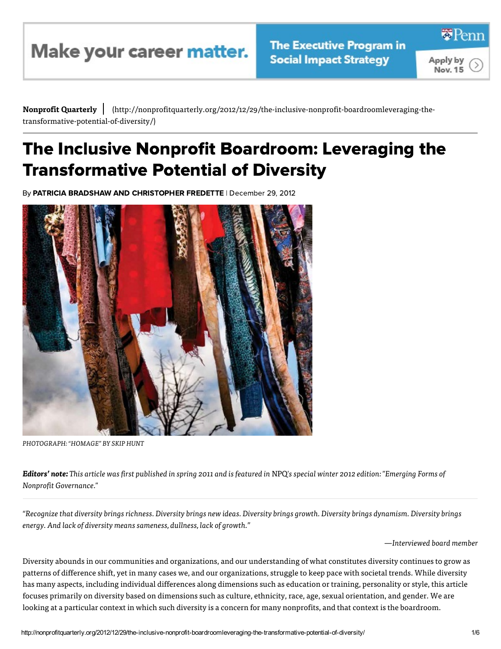Make your career matter.

≅Pem

Apply by Nov. 15

Nonprofit Quarterly | (http://nonprofitquarterly.org/2012/12/29/the-inclusive-nonprofit-boardroomleveraging-the-<br>
transformative-potential-of-diversity/)<br>
The Inclusive Nonprofit Boardroom: Leveraging the (http://nonprofit quarterly.org/2012/12/29/the-inclusive-nonprofit-board roomleveraging-thetransformative-potential-of-diversity/)

## Transformative Potential of Diversit **I FANSTOFMATIVE POTENTIAI OT DIVET<br>By PATRICIA BRADSHAW AND CHRISTOPHER FREDETTE | December 29, 2012**



PHOTOGRAPH: "HOMAGE" BY SKIP HUNT

Editors' note: This article was first published in spring 2011 and is featured in NPQ's special winter 2012 edition: "Emerging Forms of Nonprofit Governance."

"Recognize that diversity brings richness. Diversity brings new ideas. Diversity brings growth. Diversity brings dynamism. Diversity brings energy. And lack of diversity means sameness, dullness, lack of growth."

—Interviewed board member

Diversity abounds in our communities and organizations, and our understanding of what constitutes diversity continues to grow as patterns of difference shift, yet in many cases we, and our organizations, struggle to keep pace with societal trends. While diversity has many aspects, including individual differences along dimensions such as education or training, personality or style, this article focuses primarily on diversity based on dimensions such as culture, ethnicity, race, age, sexual orientation, and gender. We are looking at a particular context in which such diversity is a concern for many nonprofits, and that context is the boardroom.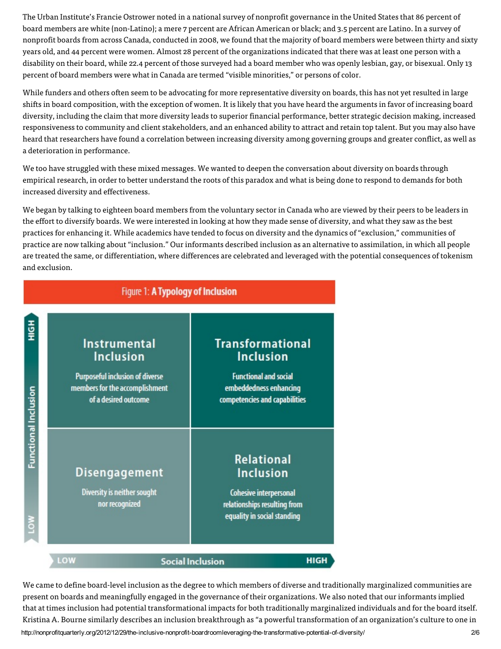The Urban Institute's Francie Ostrower noted in a national survey of nonprofit governance in the United States that 86 percent of board members are white (non-Latino); a mere 7 percent are African American or black; and 3.5 percent are Latino. In a survey of nonprofit boards from across Canada, conducted in 2008, we found that the majority of board members were between thirty and sixty years old, and 44 percent were women. Almost 28 percent of the organizations indicated that there was at least one person with a disability on their board, while 22.4 percent of those surveyed had a board member who was openly lesbian, gay, or bisexual. Only 13 percent of board members were what in Canada are termed "visible minorities," or persons of color.

While funders and others often seem to be advocating for more representative diversity on boards, this has not vet resulted in large shifts in board composition, with the exception of women. It is likely that you have heard the arguments in favor of increasing board diversity, including the claim that more diversity leads to superior financial performance, better strategic decision making, increased responsiveness to community and client stakeholders, and an enhanced ability to attract and retain top talent. But you may also have heard that researchers have found a correlation between increasing diversity among governing groups and greater conflict, as well as a deterioration in performance.

We too have struggled with these mixed messages. We wanted to deepen the conversation about diversity on boards through empirical research, in order to better understand the roots of this paradox and what is being done to respond to demands for both increased diversity and effectiveness.

We began by talking to eighteen board members from the voluntary sector in Canada who are viewed by their peers to be leaders in the effort to diversify boards. We were interested in looking at how they made sense of diversity, and what they saw as the best practices for enhancing it. While academics have tended to focus on diversity and the dynamics of "exclusion," communities of practice are now talking about "inclusion." Our informants described inclusion as an alternative to assimilation, in which all people are treated the same, or differentiation, where differences are celebrated and leveraged with the potential consequences of tokenism and exclusion.

| Figure 1: A Typology of Inclusion |                                                                                                                                      |                                                                                                                                        |  |
|-----------------------------------|--------------------------------------------------------------------------------------------------------------------------------------|----------------------------------------------------------------------------------------------------------------------------------------|--|
| H <sub>D</sub> H                  | <b>Instrumental</b><br><b>Inclusion</b><br>Purposeful inclusion of diverse<br>members for the accomplishment<br>of a desired outcome | <b>Transformational</b><br><b>Inclusion</b><br><b>Functional and social</b><br>embeddedness enhancing<br>competencies and capabilities |  |
| Functional Inclusion<br>ş         | <b>Disengagement</b><br>Diversity is neither sought<br>nor recognized                                                                | <b>Relational</b><br><b>Inclusion</b><br><b>Cohesive interpersonal</b><br>relationships resulting from<br>equality in social standing  |  |
|                                   | LOW                                                                                                                                  | <b>HIGH</b><br><b>Social Inclusion</b>                                                                                                 |  |

http://nonprofitquarterly.org/2012/12/29/the-inclusive-nonprofit-boardroomleveraging-the-transformative-potential-of-diversity/ We came to define board-level inclusion as the degree to which members of diverse and traditionally marginalized communities are present on boards and meaningfully engaged in the governance of their organizations. We also noted that our informants implied that at times inclusion had potential transformational impacts for both traditionally marginalized individuals and for the board itself. Kristina A. Bourne similarly describes an inclusion breakthrough as "a powerful transformation of an organization's culture to one in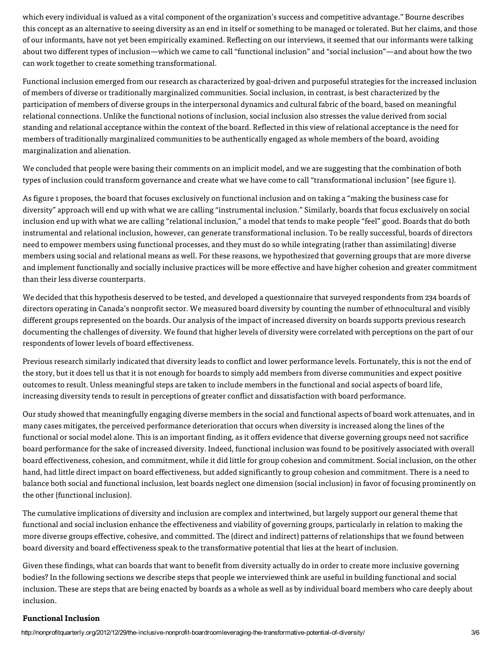which every individual is valued as a vital component of the organization's success and competitive advantage." Bourne describes this concept as an alternative to seeing diversity as an end in itself or something to be managed or tolerated. But her claims, and those of our informants, have not yet been empirically examined. Reflecting on our interviews, it seemed that our informants were talking about two different types of inclusion—which we came to call "functional inclusion" and "social inclusion"—and about how the two can work together to create something transformational.

Functional inclusion emerged from our research as characterized by goal-driven and purposeful strategies for the increased inclusion of members of diverse or traditionally marginalized communities. Social inclusion, in contrast, is best characterized by the participation of members of diverse groups in the interpersonal dynamics and cultural fabric of the board, based on meaningful relational connections. Unlike the functional notions of inclusion, social inclusion also stresses the value derived from social standing and relational acceptance within the context of the board. Reflected in this view of relational acceptance is the need for members of traditionally marginalized communities to be authentically engaged as whole members of the board, avoiding marginalization and alienation.

We concluded that people were basing their comments on an implicit model, and we are suggesting that the combination of both types of inclusion could transform governance and create what we have come to call "transformational inclusion" (see figure 1).

As figure 1 proposes, the board that focuses exclusively on functional inclusion and on taking a "making the business case for diversity" approach will end up with what we are calling "instrumental inclusion." Similarly, boards that focus exclusively on social inclusion end up with what we are calling "relational inclusion," a model that tends to make people "feel" good. Boards that do both instrumental and relational inclusion, however, can generate transformational inclusion. To be really successful, boards of directors need to empower members using functional processes, and they must do so while integrating (rather than assimilating) diverse members using social and relational means as well. For these reasons, we hypothesized that governing groups that are more diverse and implement functionally and socially inclusive practices will be more effective and have higher cohesion and greater commitment than their less diverse counterparts.

We decided that this hypothesis deserved to be tested, and developed a questionnaire that surveyed respondents from 234 boards of directors operating in Canada's nonprofit sector. We measured board diversity by counting the number of ethnocultural and visibly different groups represented on the boards. Our analysis of the impact of increased diversity on boards supports previous research documenting the challenges of diversity. We found that higher levels of diversity were correlated with perceptions on the part of our respondents of lower levels of board effectiveness.

Previous research similarly indicated that diversity leads to conflict and lower performance levels. Fortunately, this is not the end of the story, but it does tell us that it is not enough for boards to simply add members from diverse communities and expect positive outcomes to result. Unless meaningful steps are taken to include members in the functional and social aspects of board life, increasing diversity tends to result in perceptions of greater conflict and dissatisfaction with board performance.

Our study showed that meaningfully engaging diverse members in the social and functional aspects of board work attenuates, and in many cases mitigates, the perceived performance deterioration that occurs when diversity is increased along the lines of the functional or social model alone. This is an important finding, as it offers evidence that diverse governing groups need not sacrifice board performance for the sake of increased diversity. Indeed, functional inclusion was found to be positively associated with overall board effectiveness, cohesion, and commitment, while it did little for group cohesion and commitment. Social inclusion, on the other hand, had little direct impact on board effectiveness, but added significantly to group cohesion and commitment. There is a need to balance both social and functional inclusion, lest boards neglect one dimension (social inclusion) in favor of focusing prominently on the other (functional inclusion).

The cumulative implications of diversity and inclusion are complex and intertwined, but largely support our general theme that functional and social inclusion enhance the effectiveness and viability of governing groups, particularly in relation to making the more diverse groups effective, cohesive, and committed. The (direct and indirect) patterns of relationships that we found between board diversity and board effectiveness speak to the transformative potential that lies at the heart of inclusion.

Given these findings, what can boards that want to benefit from diversity actually do in order to create more inclusive governing bodies? In the following sections we describe steps that people we interviewed think are useful in building functional and social inclusion. These are steps that are being enacted by boards as a whole as well as by individual board members who care deeply about inclusion

## **Functional Inclusion**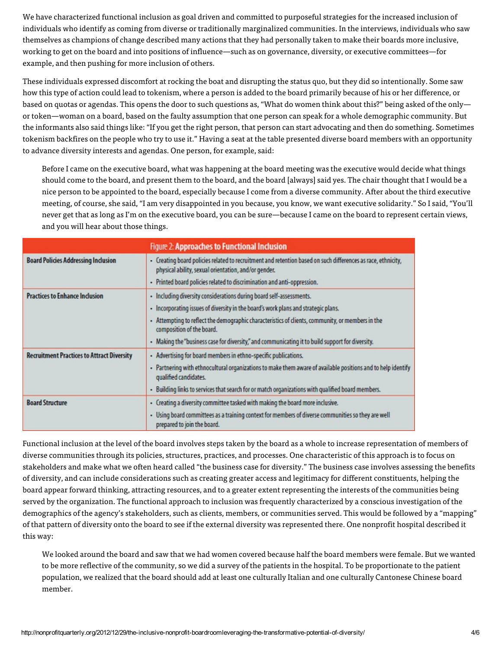We have characterized functional inclusion as goal driven and committed to purposeful strategies for the increased inclusion of individuals who identify as coming from diverse or traditionally marginalized communities. In the interviews, individuals who saw themselves as champions of change described many actions that they had personally taken to make their boards more inclusive, working to get on the board and into positions of influence—such as on governance, diversity, or executive committees—for example, and then pushing for more inclusion of others.

These individuals expressed discomfort at rocking the boat and disrupting the status quo, but they did so intentionally. Some saw how this type of action could lead to tokenism, where a person is added to the board primarily because of his or her difference, or based on quotas or agendas. This opens the door to such questions as, "What do women think about this?" being asked of the only or token—woman on a board, based on the faulty assumption that one person can speak for a whole demographic community. But the informants also said things like: "If you get the right person, that person can start advocating and then do something. Sometimes tokenism backfires on the people who try to use it." Having a seat at the table presented diverse board members with an opportunity to advance diversity interests and agendas. One person, for example, said:

Before I came on the executive board, what was happening at the board meeting was the executive would decide what things should come to the board, and present them to the board, and the board [always] said yes. The chair thought that I would be a nice person to be appointed to the board, especially because I come from a diverse community. After about the third executive meeting, of course, she said, "I am very disappointed in you because, you know, we want executive solidarity." So I said, "You'll never get that as long as I'm on the executive board, you can be sure—because I came on the board to represent certain views, and you will hear about those things.

| Figure 2: Approaches to Functional Inclusion      |                                                                                                                                                                      |  |
|---------------------------------------------------|----------------------------------------------------------------------------------------------------------------------------------------------------------------------|--|
| <b>Board Policies Addressing Inclusion</b>        | - Creating board policies related to recruitment and retention based on such differences as race, ethnicity,<br>physical ability, sexual orientation, and/or gender. |  |
|                                                   | - Printed board policies related to discrimination and anti-oppression.                                                                                              |  |
| <b>Practices to Enhance Inclusion</b>             | - Including diversity considerations during board self-assessments.                                                                                                  |  |
|                                                   | - Incorporating issues of diversity in the board's work plans and strategic plans.                                                                                   |  |
|                                                   | Attempting to reflect the demographic characteristics of clients, community, or members in the<br>composition of the board.                                          |  |
|                                                   | - Making the "business case for diversity," and communicating it to build support for diversity.                                                                     |  |
| <b>Recruitment Practices to Attract Diversity</b> | - Advertising for board members in ethno-specific publications.                                                                                                      |  |
|                                                   | - Partnering with ethnocultural organizations to make them aware of available positions and to help identify<br>qualified candidates.                                |  |
|                                                   | - Building links to services that search for or match organizations with qualified board members.                                                                    |  |
| <b>Board Structure</b>                            | - Creating a diversity committee tasked with making the board more inclusive.                                                                                        |  |
|                                                   | - Using board committees as a training context for members of diverse communities so they are well<br>prepared to join the board.                                    |  |

Functional inclusion at the level of the board involves steps taken by the board as a whole to increase representation of members of diverse communities through its policies, structures, practices, and processes. One characteristic of this approach is to focus on stakeholders and make what we often heard called "the business case for diversity." The business case involves assessing the benefits of diversity, and can include considerations such as creating greater access and legitimacy for different constituents, helping the board appear forward thinking, attracting resources, and to a greater extent representing the interests of the communities being served by the organization. The functional approach to inclusion was frequently characterized by a conscious investigation of the demographics of the agency's stakeholders, such as clients, members, or communities served. This would be followed by a "mapping" of that pattern of diversity onto the board to see if the external diversity was represented there. One nonprofit hospital described it this way:

We looked around the board and saw that we had women covered because half the board members were female. But we wanted to be more reflective of the community, so we did a survey of the patients in the hospital. To be proportionate to the patient population, we realized that the board should add at least one culturally Italian and one culturally Cantonese Chinese board member.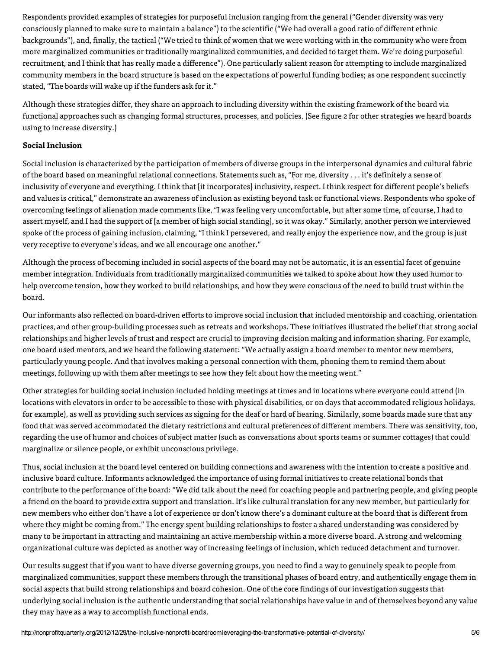Respondents provided examples of strategies for purposeful inclusion ranging from the general ("Gender diversity was very consciously planned to make sure to maintain a balance") to the scientific ("We had overall a good ratio of different ethnic backgrounds"), and, finally, the tactical ("We tried to think of women that we were working with in the community who were from more marginalized communities or traditionally marginalized communities, and decided to target them. We're doing purposeful recruitment, and I think that has really made a difference"). One particularly salient reason for attempting to include marginalized community members in the board structure is based on the expectations of powerful funding bodies; as one respondent succinctly stated, "The boards will wake up if the funders ask for it."

Although these strategies differ, they share an approach to including diversity within the existing framework of the board via functional approaches such as changing formal structures, processes, and policies. (See figure 2 for other strategies we heard boards using to increase diversity.)

## Social Inclusion

Social inclusion is characterized by the participation of members of diverse groups in the interpersonal dynamics and cultural fabric of the board based on meaningful relational connections. Statements such as, "For me, diversity . . . it's definitely a sense of inclusivity of everyone and everything. I think that [it incorporates] inclusivity, respect. I think respect for different people's beliefs and values is critical," demonstrate an awareness of inclusion as existing beyond task or functional views. Respondents who spoke of overcoming feelings of alienation made comments like, "I was feeling very uncomfortable, but after some time, of course, I had to assert myself, and I had the support of [a member of high social standing], so it was okay." Similarly, another person we interviewed spoke of the process of gaining inclusion, claiming, "I think I persevered, and really enjoy the experience now, and the group is just very receptive to everyone's ideas, and we all encourage one another."

Although the process of becoming included in social aspects of the board may not be automatic, it is an essential facet of genuine member integration. Individuals from traditionally marginalized communities we talked to spoke about how they used humor to help overcome tension, how they worked to build relationships, and how they were conscious of the need to build trust within the hoard.

Our informants also reflected on board-driven efforts to improve social inclusion that included mentorship and coaching, orientation practices, and other group-building processes such as retreats and workshops. These initiatives illustrated the belief that strong social relationships and higher levels of trust and respect are crucial to improving decision making and information sharing. For example, one board used mentors, and we heard the following statement: "We actually assign a board member to mentor new members, particularly young people. And that involves making a personal connection with them, phoning them to remind them about meetings, following up with them after meetings to see how they felt about how the meeting went."

Other strategies for building social inclusion included holding meetings at times and in locations where everyone could attend (in locations with elevators in order to be accessible to those with physical disabilities, or on days that accommodated religious holidays, for example), as well as providing such services as signing for the deaf or hard of hearing. Similarly, some boards made sure that any food that was served accommodated the dietary restrictions and cultural preferences of different members. There was sensitivity, too, regarding the use of humor and choices of subject matter (such as conversations about sports teams or summer cottages) that could marginalize or silence people, or exhibit unconscious privilege.

Thus, social inclusion at the board level centered on building connections and awareness with the intention to create a positive and inclusive board culture. Informants acknowledged the importance of using formal initiatives to create relational bonds that contribute to the performance of the board: "We did talk about the need for coaching people and partnering people, and giving people a friend on the board to provide extra support and translation. It's like cultural translation for any new member, but particularly for new members who either don't have a lot of experience or don't know there's a dominant culture at the board that is different from where they might be coming from." The energy spent building relationships to foster a shared understanding was considered by many to be important in attracting and maintaining an active membership within a more diverse board. A strong and welcoming organizational culture was depicted as another way of increasing feelings of inclusion, which reduced detachment and turnover.

Our results suggest that if you want to have diverse governing groups, you need to find a way to genuinely speak to people from marginalized communities, support these members through the transitional phases of board entry, and authentically engage them in social aspects that build strong relationships and board cohesion. One of the core findings of our investigation suggests that underlying social inclusion is the authentic understanding that social relationships have value in and of themselves beyond any value they may have as a way to accomplish functional ends.